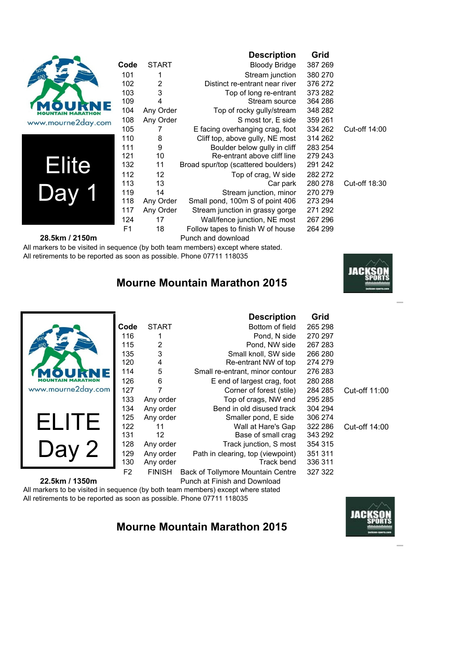|                    |                |              | <b>Description</b>                  | Grid    |               |
|--------------------|----------------|--------------|-------------------------------------|---------|---------------|
|                    | Code           | <b>START</b> | <b>Bloody Bridge</b>                | 387 269 |               |
|                    | 101            |              | Stream junction                     | 380 270 |               |
|                    | 102            | 2            | Distinct re-entrant near river      | 376 272 |               |
|                    | 103            | 3            | Top of long re-entrant              | 373 282 |               |
|                    | 109            | 4            | Stream source                       | 364 286 |               |
|                    | 104            | Any Order    | Top of rocky gully/stream           | 348 282 |               |
| www.mourne2day.com | 108            | Any Order    | S most tor, E side                  | 359 261 |               |
|                    | 105            |              | E facing overhanging crag, foot     | 334 262 | Cut-off 14:00 |
|                    | 110            | 8            | Cliff top, above gully, NE most     | 314 262 |               |
|                    | 111            | 9            | Boulder below gully in cliff        | 283 254 |               |
|                    | 121            | 10           | Re-entrant above cliff line         | 279 243 |               |
| Elite              | 132            | 11           | Broad spur/top (scattered boulders) | 291 242 |               |
|                    | 112            | 12           | Top of crag, W side                 | 282 272 |               |
|                    | 113            | 13           | Car park                            | 280 278 | Cut-off 18:30 |
|                    | 119            | 14           | Stream junction, minor              | 270 279 |               |
|                    | 118            | Any Order    | Small pond, 100m S of point 406     | 273 294 |               |
|                    | 117            | Any Order    | Stream junction in grassy gorge     | 271 292 |               |
|                    | 124            | 17           | Wall/fence junction, NE most        | 267 296 |               |
|                    | F <sub>1</sub> | 18           | Follow tapes to finish W of house   | 264 299 |               |
| 28.5km / 2150m     |                |              | Punch and download                  |         |               |

#### 28.5km / 2150m

All markers to be visited in sequence (by both team members) except where stated. All retirements to be reported as soon as possible. Phone 07711 118035

### **Mourne Mountain Marathon 2015**



Cut-off 11:00

Cut-off 14:00

|                    |                |               | <b>Description</b>                | Grid    |         |
|--------------------|----------------|---------------|-----------------------------------|---------|---------|
|                    | Code           | <b>START</b>  | Bottom of field                   | 265 298 |         |
|                    | 116            |               | Pond, N side                      | 270 297 |         |
|                    | 115            | 2             | Pond, NW side                     | 267 283 |         |
|                    | 135            | 3             | Small knoll, SW side              | 266 280 |         |
|                    | 120            | 4             | Re-entrant NW of top              | 274 279 |         |
|                    | 114            | 5             | Small re-entrant, minor contour   | 276 283 |         |
|                    | 126            | 6             | E end of largest crag, foot       | 280 288 |         |
| www.mourne2day.com | 127            |               | Corner of forest (stile)          | 284 285 | Cut-off |
|                    | 133            | Any order     | Top of crags, NW end              | 295 285 |         |
|                    | 134            | Any order     | Bend in old disused track         | 304 294 |         |
| ELITE              | 125            | Any order     | Smaller pond, E side              | 306 274 |         |
|                    | 122            | 11            | Wall at Hare's Gap                | 322 286 | Cut-off |
|                    | 131            | 12            | Base of small crag                | 343 292 |         |
|                    | 128            | Any order     | Track junction, S most            | 354 315 |         |
| Day                | 129            | Any order     | Path in clearing, top (viewpoint) | 351 311 |         |
|                    | 130            | Any order     | Track bend                        | 336 311 |         |
|                    | F <sub>2</sub> | <b>FINISH</b> | Back of Tollymore Mountain Centre | 327 322 |         |

**22.5km / 1350m** Punch at Finish and Download

All markers to be visited in sequence (by both team members) except where stated All retirements to be reported as soon as possible. Phone 07711 118035

#### **Mourne Mountain Marathon 2015**

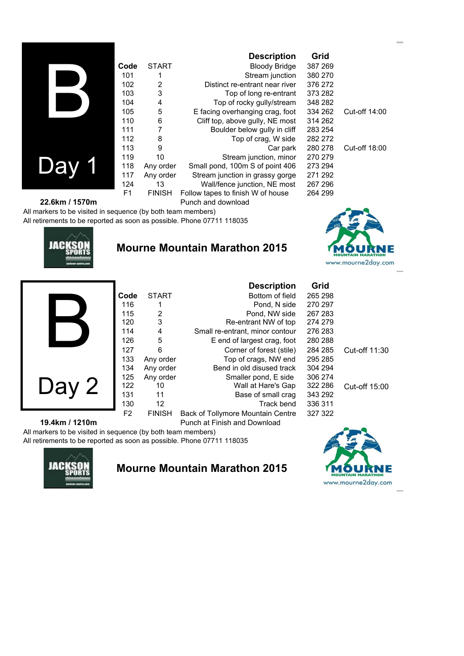|                |                |               | <b>Description</b>                | Grid    |               |
|----------------|----------------|---------------|-----------------------------------|---------|---------------|
|                | Code           | <b>START</b>  | <b>Bloody Bridge</b>              | 387 269 |               |
|                | 101            |               | Stream junction                   | 380 270 |               |
|                | 102            | 2             | Distinct re-entrant near river    | 376 272 |               |
|                | 103            | 3             | Top of long re-entrant            | 373 282 |               |
|                | 104            | 4             | Top of rocky gully/stream         | 348 282 |               |
|                | 105            | 5             | E facing overhanging crag, foot   | 334 262 | Cut-off 14:00 |
|                | 110            | 6             | Cliff top, above gully, NE most   | 314 262 |               |
|                | 111            | 7             | Boulder below gully in cliff      | 283 254 |               |
|                | 112            | 8             | Top of crag, W side               | 282 272 |               |
|                | 113            | 9             | Car park                          | 280 278 | Cut-off 18:00 |
|                | 119            | 10            | Stream junction, minor            | 270 279 |               |
| Jav            | 118            | Any order     | Small pond, 100m S of point 406   | 273 294 |               |
|                | 117            | Any order     | Stream junction in grassy gorge   | 271 292 |               |
|                | 124            | 13            | Wall/fence junction, NE most      | 267 296 |               |
|                | F <sub>1</sub> | <b>FINISH</b> | Follow tapes to finish W of house | 264 299 |               |
| 22.6km / 1570m |                |               | Punch and download                |         |               |

All markers to be visited in sequence (by both team members) All retirements to be reported as soon as possible. Phone 07711 118035



#### **Mourne Mountain Marathon 2015**



|     | Code | SIARI     |
|-----|------|-----------|
|     | 116  | 1         |
|     | 115  | 2         |
|     | 120  | 3         |
|     | 114  | 4         |
|     | 126  | 5         |
|     | 127  | 6         |
|     | 133  | Any order |
|     | 134  | Any order |
|     | 125  | Any order |
| Day | 122  | 10        |
|     | 131  | 11        |
|     | 130  | 12        |

|                |               | <b>Description</b>                | Grid    |               |
|----------------|---------------|-----------------------------------|---------|---------------|
| Code           | <b>START</b>  | Bottom of field                   | 265 298 |               |
| 116            |               | Pond, N side                      | 270 297 |               |
| 115            | 2             | Pond. NW side                     | 267 283 |               |
| 120            | 3             | Re-entrant NW of top              | 274 279 |               |
| 114            | 4             | Small re-entrant, minor contour   | 276 283 |               |
| 126            | 5             | E end of largest crag, foot       | 280 288 |               |
| 127            | 6             | Corner of forest (stile)          | 284 285 | Cut-off 11:30 |
| 133            | Any order     | Top of crags, NW end              | 295 285 |               |
| 134            | Any order     | Bend in old disused track         | 304 294 |               |
| 125            | Any order     | Smaller pond, E side              | 306 274 |               |
| 122            | 10            | Wall at Hare's Gap                | 322 286 | Cut-off 15:00 |
| 131            | 11            | Base of small crag                | 343 292 |               |
| 130            | 12            | Track bend                        | 336 311 |               |
| F <sub>2</sub> | <b>FINISH</b> | Back of Tollymore Mountain Centre | 327 322 |               |

#### **19.4km / 1210m** Punch at Finish and Download

All markers to be visited in sequence (by both team members) All retirements to be reported as soon as possible. Phone 07711 118035



#### **Mourne Mountain Marathon 2015**

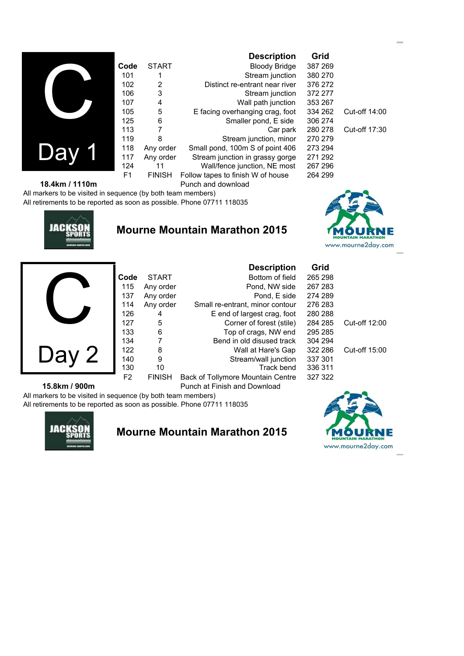|                |               | <b>Description</b>                | Grid    |               |
|----------------|---------------|-----------------------------------|---------|---------------|
| Code           | <b>START</b>  | <b>Bloody Bridge</b>              | 387 269 |               |
| 101            |               | Stream junction                   | 380 270 |               |
| 102            | 2             | Distinct re-entrant near river    | 376 272 |               |
| 106            | 3             | Stream junction                   | 372 277 |               |
| 107            | 4             | Wall path junction                | 353 267 |               |
| 105            | 5             | E facing overhanging crag, foot   | 334 262 | Cut-off 14:00 |
| 125            | 6             | Smaller pond, E side              | 306 274 |               |
| 113            | 7             | Car park                          | 280 278 | Cut-off 17:30 |
| 119            | 8             | Stream junction, minor            | 270 279 |               |
| 118            | Any order     | Small pond, 100m S of point 406   | 273 294 |               |
| 117            | Any order     | Stream junction in grassy gorge   | 271 292 |               |
| 124            | 11            | Wall/fence junction, NE most      | 267 296 |               |
| F <sub>1</sub> | <b>FINISH</b> | Follow tapes to finish W of house | 264 299 |               |
|                |               | Punch and download                |         |               |

**18.4km / 1110m** All markers to be visited in sequence (by both team members)

All retirements to be reported as soon as possible. Phone 07711 118035



**Cy** 

Da

### **Mourne Mountain Marathon 2015**



|               |                |               | <b>Description</b>                | Grid    |               |  |
|---------------|----------------|---------------|-----------------------------------|---------|---------------|--|
|               | Code           | <b>START</b>  | Bottom of field                   | 265 298 |               |  |
|               | 115            | Any order     | Pond, NW side                     | 267 283 |               |  |
|               | 137            | Any order     | Pond, E side                      | 274 289 |               |  |
|               | 114            | Any order     | Small re-entrant, minor contour   | 276 283 |               |  |
|               | 126            | 4             | E end of largest crag, foot       | 280 288 |               |  |
|               | 127            | 5             | Corner of forest (stile)          | 284 285 | Cut-off 12:00 |  |
|               | 133            | 6             | Top of crags, NW end              | 295 285 |               |  |
|               | 134            |               | Bend in old disused track         | 304 294 |               |  |
|               | 122            | 8             | Wall at Hare's Gap                | 322 286 | Cut-off 15:00 |  |
| Day 2         | 140            | 9             | Stream/wall junction              | 337 301 |               |  |
|               | 130            | 10            | Track bend                        | 336 311 |               |  |
|               | F <sub>2</sub> | <b>FINISH</b> | Back of Tollymore Mountain Centre | 327 322 |               |  |
| 15.8km / 900m |                |               | Punch at Finish and Download      |         |               |  |

All markers to be visited in sequence (by both team members) All retirements to be reported as soon as possible. Phone 07711 118035



#### **Mourne Mountain Marathon 2015**